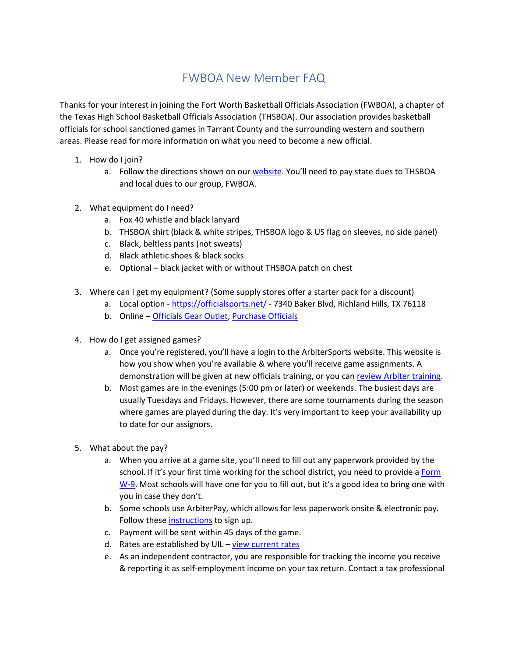## FWBOA New Member FAQ

Thanks for your interest in joining the Fort Worth Basketball Officials Association (FWBOA), a chapter of the Texas High School Basketball Officials Association (THSBOA). Our association provides basketball officials for school sanctioned games in Tarrant County and the surrounding western and southern areas. Please read for more information on what you need to become a new official.

- 1. How do I join?
	- a. Follow the directions shown on our [website](http://fortworthref.com/articles/view/new-officials-join-today-58ab339d-e6b8-4351-b256-7c080abbf8aa). You'll need to pay state dues to THSBOA and local dues to our group, FWBOA.
- 2. What equipment do I need?
	- a. Fox 40 whistle and black lanyard
	- b. THSBOA shirt (black & white stripes, THSBOA logo & US flag on sleeves, no side panel)
	- c. Black, beltless pants (not sweats)
	- d. Black athletic shoes & black socks
	- e. Optional black jacket with or without THSBOA patch on chest
- 3. Where can I get my equipment? (Some supply stores offer a starter pack for a discount)
	- a. Local option <https://officialsports.net/> 7340 Baker Blvd, Richland Hills, TX 76118
	- b. Online [Officials Gear Outlet,](https://officialsgearoutlet.com/collections/thsboa) [Purchase Officials](https://r.efer.me/2759046758465)
- 4. How do I get assigned games?
	- a. Once you're registered, you'll have a login to the ArbiterSports website. This website is how you show when you're available & where you'll receive game assignments. A demonstration will be given at new officials training, or you can [review Arbiter training.](https://arbitersports.force.com/officials/s/)
	- b. Most games are in the evenings (5:00 pm or later) or weekends. The busiest days are usually Tuesdays and Fridays. However, there are some tournaments during the season where games are played during the day. It's very important to keep your availability up to date for our assignors.
- 5. What about the pay?
	- a. When you arrive at a game site, you'll need to fill out any paperwork provided by the school. If it's your first time working for the school district, you need to provide a [Form](https://www.irs.gov/pub/irs-pdf/fw9.pdf)  [W-9](https://www.irs.gov/pub/irs-pdf/fw9.pdf). Most schools will have one for you to fill out, but it's a good idea to bring one with you in case they don't.
	- b. Some schools use ArbiterPay, which allows for less paperwork onsite & electronic pay. Follow these [instructions](https://arbitersports.force.com/officials/s/article/How-Do-I-Register-For-An-ArbiterPay-Account) to sign up.
	- c. Payment will be sent within 45 days of the game.
	- d. Rates are established by UIL [view current rates](https://www.uiltexas.org/athletics/calculate-mileage)
	- e. As an independent contractor, you are responsible for tracking the income you receive & reporting it as self-employment income on your tax return. Contact a tax professional